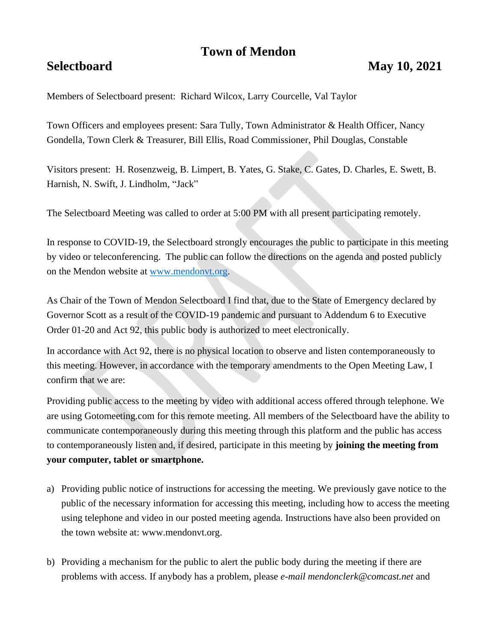# **Town of Mendon**

Members of Selectboard present: Richard Wilcox, Larry Courcelle, Val Taylor

Town Officers and employees present: Sara Tully, Town Administrator & Health Officer, Nancy Gondella, Town Clerk & Treasurer, Bill Ellis, Road Commissioner, Phil Douglas, Constable

Visitors present: H. Rosenzweig, B. Limpert, B. Yates, G. Stake, C. Gates, D. Charles, E. Swett, B. Harnish, N. Swift, J. Lindholm, "Jack"

The Selectboard Meeting was called to order at 5:00 PM with all present participating remotely.

In response to COVID-19, the Selectboard strongly encourages the public to participate in this meeting by video or teleconferencing. The public can follow the directions on the agenda and posted publicly on the Mendon website at [www.mendonvt.org.](http://www.mendonvt.org/)

As Chair of the Town of Mendon Selectboard I find that, due to the State of Emergency declared by Governor Scott as a result of the COVID-19 pandemic and pursuant to Addendum 6 to Executive Order 01-20 and Act 92, this public body is authorized to meet electronically.

In accordance with Act 92, there is no physical location to observe and listen contemporaneously to this meeting. However, in accordance with the temporary amendments to the Open Meeting Law, I confirm that we are:

Providing public access to the meeting by video with additional access offered through telephone. We are using Gotomeeting.com for this remote meeting. All members of the Selectboard have the ability to communicate contemporaneously during this meeting through this platform and the public has access to contemporaneously listen and, if desired, participate in this meeting by **joining the meeting from your computer, tablet or smartphone.** 

- a) Providing public notice of instructions for accessing the meeting. We previously gave notice to the public of the necessary information for accessing this meeting, including how to access the meeting using telephone and video in our posted meeting agenda. Instructions have also been provided on the town website at: www.mendonvt.org.
- b) Providing a mechanism for the public to alert the public body during the meeting if there are problems with access. If anybody has a problem, please *e-mail mendonclerk@comcast.net* and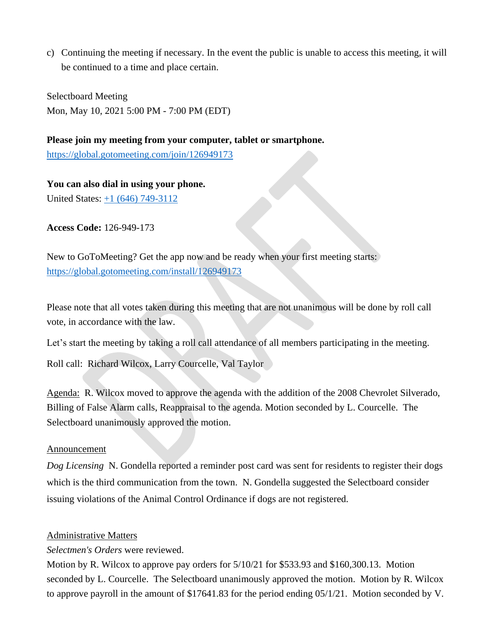c) Continuing the meeting if necessary. In the event the public is unable to access this meeting, it will be continued to a time and place certain.

Selectboard Meeting Mon, May 10, 2021 5:00 PM - 7:00 PM (EDT)

**Please join my meeting from your computer, tablet or smartphone.**  <https://global.gotomeeting.com/join/126949173>

**You can also dial in using your phone.** United States: [+1 \(646\) 749-3112](tel:+16467493112,,126949173)

**Access Code:** 126-949-173

New to GoToMeeting? Get the app now and be ready when your first meeting starts: <https://global.gotomeeting.com/install/126949173>

Please note that all votes taken during this meeting that are not unanimous will be done by roll call vote, in accordance with the law.

Let's start the meeting by taking a roll call attendance of all members participating in the meeting.

Roll call: Richard Wilcox, Larry Courcelle, Val Taylor

Agenda: R. Wilcox moved to approve the agenda with the addition of the 2008 Chevrolet Silverado, Billing of False Alarm calls, Reappraisal to the agenda. Motion seconded by L. Courcelle. The Selectboard unanimously approved the motion.

## Announcement

*Dog Licensing* N. Gondella reported a reminder post card was sent for residents to register their dogs which is the third communication from the town. N. Gondella suggested the Selectboard consider issuing violations of the Animal Control Ordinance if dogs are not registered.

## Administrative Matters

*Selectmen's Orders* were reviewed.

Motion by R. Wilcox to approve pay orders for 5/10/21 for \$533.93 and \$160,300.13. Motion seconded by L. Courcelle. The Selectboard unanimously approved the motion. Motion by R. Wilcox to approve payroll in the amount of \$17641.83 for the period ending 05/1/21. Motion seconded by V.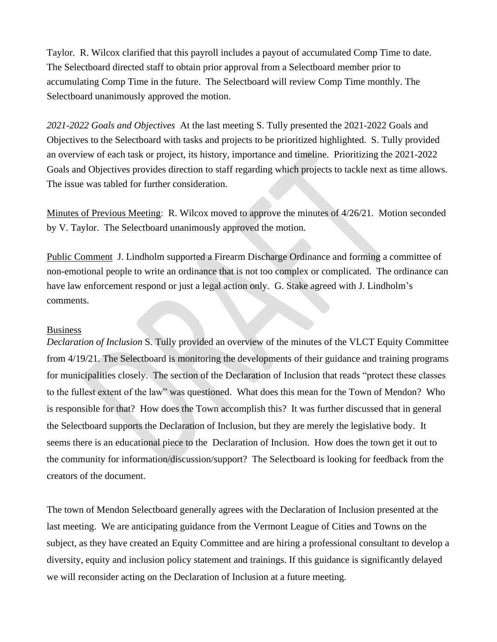Taylor. R. Wilcox clarified that this payroll includes a payout of accumulated Comp Time to date. The Selectboard directed staff to obtain prior approval from a Selectboard member prior to accumulating Comp Time in the future. The Selectboard will review Comp Time monthly. The Selectboard unanimously approved the motion.

*2021-2022 Goals and Objectives* At the last meeting S. Tully presented the 2021-2022 Goals and Objectives to the Selectboard with tasks and projects to be prioritized highlighted. S. Tully provided an overview of each task or project, its history, importance and timeline. Prioritizing the 2021-2022 Goals and Objectives provides direction to staff regarding which projects to tackle next as time allows. The issue was tabled for further consideration.

Minutes of Previous Meeting: R. Wilcox moved to approve the minutes of 4/26/21. Motion seconded by V. Taylor. The Selectboard unanimously approved the motion.

Public Comment J. Lindholm supported a Firearm Discharge Ordinance and forming a committee of non-emotional people to write an ordinance that is not too complex or complicated. The ordinance can have law enforcement respond or just a legal action only. G. Stake agreed with J. Lindholm's comments.

#### Business

*Declaration of Inclusion* S. Tully provided an overview of the minutes of the VLCT Equity Committee from 4/19/21. The Selectboard is monitoring the developments of their guidance and training programs for municipalities closely. The section of the Declaration of Inclusion that reads "protect these classes to the fullest extent of the law" was questioned. What does this mean for the Town of Mendon? Who is responsible for that? How does the Town accomplish this? It was further discussed that in general the Selectboard supports the Declaration of Inclusion, but they are merely the legislative body. It seems there is an educational piece to the Declaration of Inclusion. How does the town get it out to the community for information/discussion/support? The Selectboard is looking for feedback from the creators of the document.

The town of Mendon Selectboard generally agrees with the Declaration of Inclusion presented at the last meeting. We are anticipating guidance from the Vermont League of Cities and Towns on the subject, as they have created an Equity Committee and are hiring a professional consultant to develop a diversity, equity and inclusion policy statement and trainings. If this guidance is significantly delayed we will reconsider acting on the Declaration of Inclusion at a future meeting.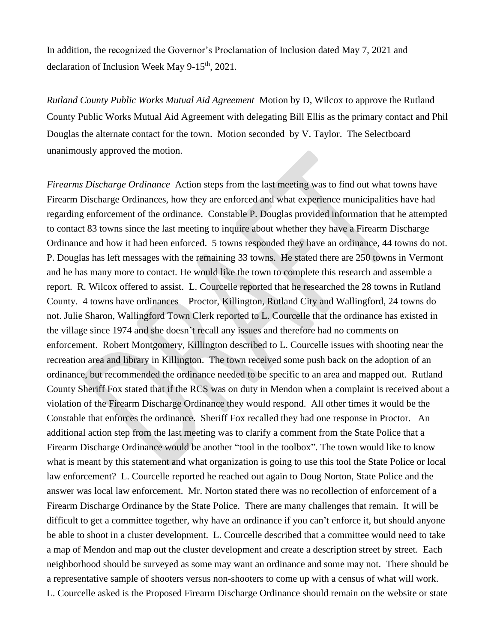In addition, the recognized the Governor's Proclamation of Inclusion dated May 7, 2021 and declaration of Inclusion Week May  $9-15<sup>th</sup>$ , 2021.

*Rutland County Public Works Mutual Aid Agreement* Motion by D, Wilcox to approve the Rutland County Public Works Mutual Aid Agreement with delegating Bill Ellis as the primary contact and Phil Douglas the alternate contact for the town. Motion seconded by V. Taylor. The Selectboard unanimously approved the motion.

*Firearms Discharge Ordinance* Action steps from the last meeting was to find out what towns have Firearm Discharge Ordinances, how they are enforced and what experience municipalities have had regarding enforcement of the ordinance. Constable P. Douglas provided information that he attempted to contact 83 towns since the last meeting to inquire about whether they have a Firearm Discharge Ordinance and how it had been enforced. 5 towns responded they have an ordinance, 44 towns do not. P. Douglas has left messages with the remaining 33 towns. He stated there are 250 towns in Vermont and he has many more to contact. He would like the town to complete this research and assemble a report. R. Wilcox offered to assist. L. Courcelle reported that he researched the 28 towns in Rutland County. 4 towns have ordinances – Proctor, Killington, Rutland City and Wallingford, 24 towns do not. Julie Sharon, Wallingford Town Clerk reported to L. Courcelle that the ordinance has existed in the village since 1974 and she doesn't recall any issues and therefore had no comments on enforcement. Robert Montgomery, Killington described to L. Courcelle issues with shooting near the recreation area and library in Killington. The town received some push back on the adoption of an ordinance, but recommended the ordinance needed to be specific to an area and mapped out. Rutland County Sheriff Fox stated that if the RCS was on duty in Mendon when a complaint is received about a violation of the Firearm Discharge Ordinance they would respond. All other times it would be the Constable that enforces the ordinance. Sheriff Fox recalled they had one response in Proctor. An additional action step from the last meeting was to clarify a comment from the State Police that a Firearm Discharge Ordinance would be another "tool in the toolbox". The town would like to know what is meant by this statement and what organization is going to use this tool the State Police or local law enforcement? L. Courcelle reported he reached out again to Doug Norton, State Police and the answer was local law enforcement. Mr. Norton stated there was no recollection of enforcement of a Firearm Discharge Ordinance by the State Police. There are many challenges that remain. It will be difficult to get a committee together, why have an ordinance if you can't enforce it, but should anyone be able to shoot in a cluster development. L. Courcelle described that a committee would need to take a map of Mendon and map out the cluster development and create a description street by street. Each neighborhood should be surveyed as some may want an ordinance and some may not. There should be a representative sample of shooters versus non-shooters to come up with a census of what will work. L. Courcelle asked is the Proposed Firearm Discharge Ordinance should remain on the website or state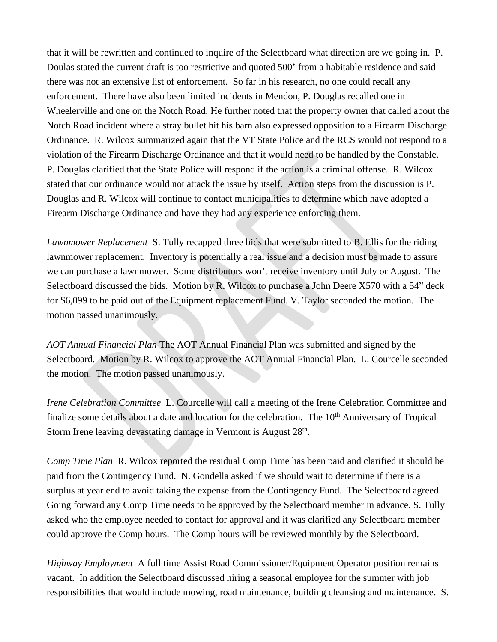that it will be rewritten and continued to inquire of the Selectboard what direction are we going in. P. Doulas stated the current draft is too restrictive and quoted 500' from a habitable residence and said there was not an extensive list of enforcement. So far in his research, no one could recall any enforcement. There have also been limited incidents in Mendon, P. Douglas recalled one in Wheelerville and one on the Notch Road. He further noted that the property owner that called about the Notch Road incident where a stray bullet hit his barn also expressed opposition to a Firearm Discharge Ordinance. R. Wilcox summarized again that the VT State Police and the RCS would not respond to a violation of the Firearm Discharge Ordinance and that it would need to be handled by the Constable. P. Douglas clarified that the State Police will respond if the action is a criminal offense. R. Wilcox stated that our ordinance would not attack the issue by itself. Action steps from the discussion is P. Douglas and R. Wilcox will continue to contact municipalities to determine which have adopted a Firearm Discharge Ordinance and have they had any experience enforcing them.

*Lawnmower Replacement* S. Tully recapped three bids that were submitted to B. Ellis for the riding lawnmower replacement. Inventory is potentially a real issue and a decision must be made to assure we can purchase a lawnmower. Some distributors won't receive inventory until July or August. The Selectboard discussed the bids. Motion by R. Wilcox to purchase a John Deere X570 with a 54" deck for \$6,099 to be paid out of the Equipment replacement Fund. V. Taylor seconded the motion. The motion passed unanimously.

*AOT Annual Financial Plan* The AOT Annual Financial Plan was submitted and signed by the Selectboard. Motion by R. Wilcox to approve the AOT Annual Financial Plan. L. Courcelle seconded the motion. The motion passed unanimously.

*Irene Celebration Committee* L. Courcelle will call a meeting of the Irene Celebration Committee and finalize some details about a date and location for the celebration. The 10<sup>th</sup> Anniversary of Tropical Storm Irene leaving devastating damage in Vermont is August 28<sup>th</sup>.

*Comp Time Plan* R. Wilcox reported the residual Comp Time has been paid and clarified it should be paid from the Contingency Fund. N. Gondella asked if we should wait to determine if there is a surplus at year end to avoid taking the expense from the Contingency Fund. The Selectboard agreed. Going forward any Comp Time needs to be approved by the Selectboard member in advance. S. Tully asked who the employee needed to contact for approval and it was clarified any Selectboard member could approve the Comp hours. The Comp hours will be reviewed monthly by the Selectboard.

*Highway Employment* A full time Assist Road Commissioner/Equipment Operator position remains vacant. In addition the Selectboard discussed hiring a seasonal employee for the summer with job responsibilities that would include mowing, road maintenance, building cleansing and maintenance. S.